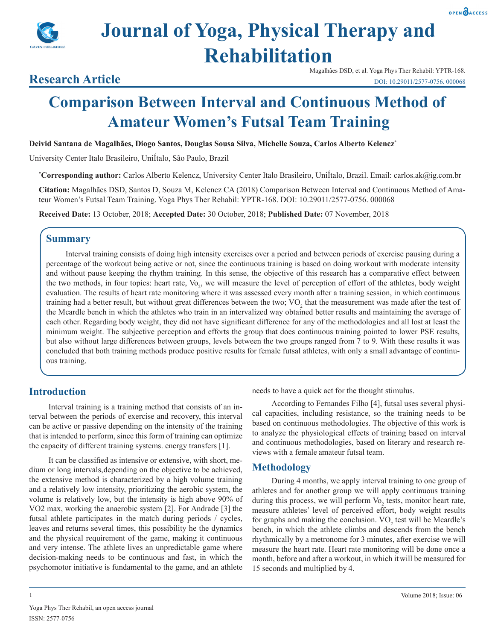



# **Journal of Yoga, Physical Therapy and Rehabilitation**

#### Magalhães DSD, et al. Yoga Phys Ther Rehabil: YPTR-168. DOI: 10.29011/2577-0756. 000068

## **Research Article**

## **Comparison Between Interval and Continuous Method of Amateur Women's Futsal Team Training**

**Deivid Santana de Magalhães, Diogo Santos, Douglas Sousa Silva, Michelle Souza, Carlos Alberto Kelencz\***

University Center Italo Brasileiro, UniÍtalo, São Paulo, Brazil

**\* Corresponding author:** Carlos Alberto Kelencz, University Center Italo Brasileiro, UniÍtalo, Brazil. Email: carlos.ak@ig.com.br

**Citation:** Magalhães DSD, Santos D, Souza M, Kelencz CA (2018) Comparison Between Interval and Continuous Method of Amateur Women's Futsal Team Training. Yoga Phys Ther Rehabil: YPTR-168. DOI: 10.29011/2577-0756. 000068

**Received Date:** 13 October, 2018; **Accepted Date:** 30 October, 2018; **Published Date:** 07 November, 2018

## **Summary**

Interval training consists of doing high intensity exercises over a period and between periods of exercise pausing during a percentage of the workout being active or not, since the continuous training is based on doing workout with moderate intensity and without pause keeping the rhythm training. In this sense, the objective of this research has a comparative effect between the two methods, in four topics: heart rate, Vo<sub>2</sub>, we will measure the level of perception of effort of the athletes, body weight evaluation. The results of heart rate monitoring where it was assessed every month after a training session, in which continuous training had a better result, but without great differences between the two;  $VO_2$  that the measurement was made after the test of the Mcardle bench in which the athletes who train in an intervalized way obtained better results and maintaining the average of each other. Regarding body weight, they did not have significant difference for any of the methodologies and all lost at least the minimum weight. The subjective perception and efforts the group that does continuous training pointed to lower PSE results, but also without large differences between groups, levels between the two groups ranged from 7 to 9. With these results it was concluded that both training methods produce positive results for female futsal athletes, with only a small advantage of continuous training.

## **Introduction**

Interval training is a training method that consists of an interval between the periods of exercise and recovery, this interval can be active or passive depending on the intensity of the training that is intended to perform, since this form of training can optimize the capacity of different training systems. energy transfers [1].

It can be classified as intensive or extensive, with short, medium or long intervals, depending on the objective to be achieved, the extensive method is characterized by a high volume training and a relatively low intensity, prioritizing the aerobic system, the volume is relatively low, but the intensity is high above 90% of VO2 max, working the anaerobic system [2]. For Andrade [3] the futsal athlete participates in the match during periods / cycles, leaves and returns several times, this possibility he the dynamics and the physical requirement of the game, making it continuous and very intense. The athlete lives an unpredictable game where decision-making needs to be continuous and fast, in which the psychomotor initiative is fundamental to the game, and an athlete needs to have a quick act for the thought stimulus.

According to Fernandes Filho [4], futsal uses several physical capacities, including resistance, so the training needs to be based on continuous methodologies. The objective of this work is to analyze the physiological effects of training based on interval and continuous methodologies, based on literary and research reviews with a female amateur futsal team.

### **Methodology**

During 4 months, we apply interval training to one group of athletes and for another group we will apply continuous training during this process, we will perform  $\text{Vo}_2$  tests, monitor heart rate, measure athletes' level of perceived effort, body weight results for graphs and making the conclusion.  $VO<sub>2</sub>$  test will be Mcardle's bench, in which the athlete climbs and descends from the bench rhythmically by a metronome for 3 minutes, after exercise we will measure the heart rate. Heart rate monitoring will be done once a month, before and after a workout, in which it will be measured for 15 seconds and multiplied by 4.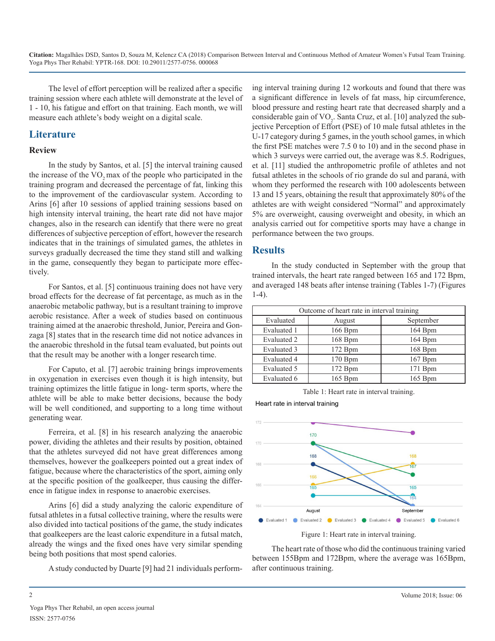The level of effort perception will be realized after a specific training session where each athlete will demonstrate at the level of 1 - 10, his fatigue and effort on that training. Each month, we will measure each athlete's body weight on a digital scale.

## **Literature**

#### **Review**

In the study by Santos, et al. [5] the interval training caused the increase of the VO<sub>2</sub> max of the people who participated in the training program and decreased the percentage of fat, linking this to the improvement of the cardiovascular system. According to Arins [6] after 10 sessions of applied training sessions based on high intensity interval training, the heart rate did not have major changes, also in the research can identify that there were no great differences of subjective perception of effort, however the research indicates that in the trainings of simulated games, the athletes in surveys gradually decreased the time they stand still and walking in the game, consequently they began to participate more effectively.

For Santos, et al. [5] continuous training does not have very broad effects for the decrease of fat percentage, as much as in the anaerobic metabolic pathway, but is a resultant training to improve aerobic resistance. After a week of studies based on continuous training aimed at the anaerobic threshold, Junior, Pereira and Gonzaga [8] states that in the research time did not notice advances in the anaerobic threshold in the futsal team evaluated, but points out that the result may be another with a longer research time.

For Caputo, et al. [7] aerobic training brings improvements in oxygenation in exercises even though it is high intensity, but training optimizes the little fatigue in long- term sports, where the athlete will be able to make better decisions, because the body will be well conditioned, and supporting to a long time without generating wear.

Ferreira, et al. [8] in his research analyzing the anaerobic power, dividing the athletes and their results by position, obtained that the athletes surveyed did not have great differences among themselves, however the goalkeepers pointed out a great index of fatigue, because where the characteristics of the sport, aiming only at the specific position of the goalkeeper, thus causing the difference in fatigue index in response to anaerobic exercises.

Arins [6] did a study analyzing the caloric expenditure of futsal athletes in a futsal collective training, where the results were also divided into tactical positions of the game, the study indicates that goalkeepers are the least caloric expenditure in a futsal match, already the wings and the fixed ones have very similar spending being both positions that most spend calories.

A study conducted by Duarte [9] had 21 individuals perform-

ing interval training during 12 workouts and found that there was a significant difference in levels of fat mass, hip circumference, blood pressure and resting heart rate that decreased sharply and a considerable gain of  $\rm VO_{2}$ . Santa Cruz, et al. [10] analyzed the subjective Perception of Effort (PSE) of 10 male futsal athletes in the U-17 category during 5 games, in the youth school games, in which the first PSE matches were 7.5 0 to 10) and in the second phase in which 3 surveys were carried out, the average was 8.5. Rodrigues, et al. [11] studied the anthropometric profile of athletes and not futsal athletes in the schools of rio grande do sul and paraná, with whom they performed the research with 100 adolescents between 13 and 15 years, obtaining the result that approximately 80% of the athletes are with weight considered "Normal" and approximately 5% are overweight, causing overweight and obesity, in which an analysis carried out for competitive sports may have a change in performance between the two groups.

## **Results**

In the study conducted in September with the group that trained intervals, the heart rate ranged between 165 and 172 Bpm, and averaged 148 beats after intense training (Tables 1-7) (Figures 1-4).

| Outcome of heart rate in interval training |         |           |
|--------------------------------------------|---------|-----------|
| Evaluated                                  | August  | September |
| Evaluated 1                                | 166 Bpm | 164 Bpm   |
| Evaluated 2                                | 168 Bpm | 164 Bpm   |
| Evaluated 3                                | 172 Bpm | 168 Bpm   |
| Evaluated 4                                | 170 Bpm | 167 Bpm   |
| Evaluated 5                                | 172 Bpm | 171 Bpm   |
| Evaluated 6                                | 165 Bpm | 165 Bpm   |

Table 1: Heart rate in interval training.

Heart rate in interval training



Figure 1: Heart rate in interval training.

The heart rate of those who did the continuous training varied between 155Bpm and 172Bpm, where the average was 165Bpm, after continuous training.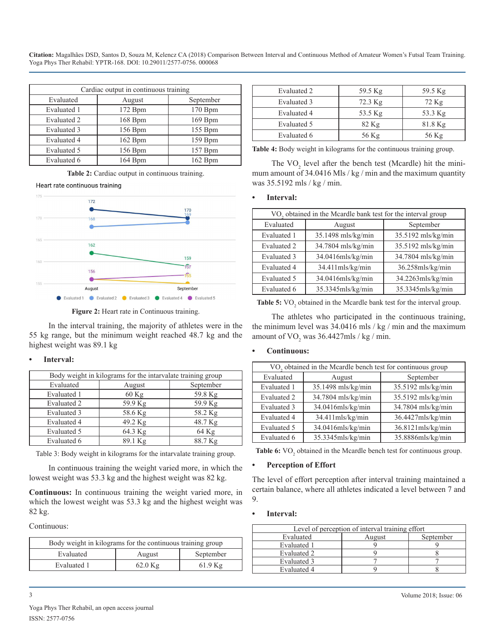| Cardiac output in continuous training |         |           |
|---------------------------------------|---------|-----------|
| Evaluated                             | August  | September |
| Evaluated 1                           | 172 Bpm | 170 Bpm   |
| Evaluated 2                           | 168 Bpm | 169 Bpm   |
| Evaluated 3                           | 156 Bpm | 155 Bpm   |
| Evaluated 4                           | 162 Bpm | 159 Bpm   |
| Evaluated 5                           | 156 Bpm | 157 Bpm   |
| Evaluated 6                           | 164 Bpm | 162 Bpm   |

**Table 2:** Cardiac output in continuous training.

Heart rate continuous training



**Figure 2:** Heart rate in Continuous training.

In the interval training, the majority of athletes were in the 55 kg range, but the minimum weight reached 48.7 kg and the highest weight was 89.1 kg

#### **Interval:**

| Body weight in kilograms for the intarvalate training group |         |           |  |
|-------------------------------------------------------------|---------|-----------|--|
| Evaluated                                                   | August  | September |  |
| Evaluated 1                                                 | $60$ Kg | 59.8 Kg   |  |
| Evaluated 2                                                 | 59.9 Kg | 59.9 Kg   |  |
| Evaluated 3                                                 | 58.6 Kg | 58.2 Kg   |  |
| Evaluated 4                                                 | 49.2 Kg | 48.7 Kg   |  |
| Evaluated 5                                                 | 64.3 Kg | 64 Kg     |  |
| Evaluated 6                                                 | 89.1 Kg | 88.7 Kg   |  |

Table 3: Body weight in kilograms for the intarvalate training group.

In continuous training the weight varied more, in which the lowest weight was 53.3 kg and the highest weight was 82 kg.

**Continuous:** In continuous training the weight varied more, in which the lowest weight was 53.3 kg and the highest weight was 82 kg.

Continuous:

| Body weight in kilograms for the continuous training group |        |           |  |
|------------------------------------------------------------|--------|-----------|--|
| Evaluated                                                  | August | September |  |
| Evaluated 1<br>$62.0$ Kg<br>$61.9$ Kg                      |        |           |  |

| Evaluated 2 | 59.5 Kg   | 59.5 Kg   |
|-------------|-----------|-----------|
| Evaluated 3 | $72.3$ Kg | $72$ Kg   |
| Evaluated 4 | 53.5 Kg   | 53.3 Kg   |
| Evaluated 5 | $82$ Kg   | $81.8$ Kg |
| Evaluated 6 | 56 Kg     | 56 Kg     |

**Table 4:** Body weight in kilograms for the continuous training group.

The  $VO<sub>2</sub>$  level after the bench test (Mcardle) hit the minimum amount of 34.0416 Mls / kg / min and the maximum quantity was 35.5192 mls / kg / min.

#### **Interval:**

| VO <sub>2</sub> obtained in the Mcardle bank test for the interval group |                    |                     |  |
|--------------------------------------------------------------------------|--------------------|---------------------|--|
| Evaluated                                                                | August             | September           |  |
| Evaluated 1                                                              | 35.1498 mls/kg/min | 35.5192 mls/kg/min  |  |
| Evaluated 2                                                              | 34.7804 mls/kg/min | 35.5192 mls/kg/min  |  |
| Evaluated 3                                                              | 34.0416mls/kg/min  | 34.7804 mls/kg/min  |  |
| Evaluated 4                                                              | 34.411mls/kg/min   | $36.258$ mls/kg/min |  |
| Evaluated 5                                                              | 34.0416mls/kg/min  | 34.2263mls/kg/min   |  |
| Evaluated 6                                                              | 35.3345mls/kg/min  | 35.3345mls/kg/min   |  |

**Table 5:** VO<sub>2</sub> obtained in the Mcardle bank test for the interval group.

The athletes who participated in the continuous training, the minimum level was 34.0416 mls / kg / min and the maximum amount of  $\rm VO_{2}$  was 36.4427mls / kg / min.

#### **• Continuous:**

| VO <sub>2</sub> obtained in the Mcardle bench test for continuous group |                    |                    |  |
|-------------------------------------------------------------------------|--------------------|--------------------|--|
| Evaluated                                                               | August             | September          |  |
| Evaluated 1                                                             | 35.1498 mls/kg/min | 35.5192 mls/kg/min |  |
| Evaluated 2                                                             | 34.7804 mls/kg/min | 35.5192 mls/kg/min |  |
| Evaluated 3                                                             | 34.0416mls/kg/min  | 34.7804 mls/kg/min |  |
| Evaluated 4                                                             | 34.411mls/kg/min   | 36.4427mls/kg/min  |  |
| Evaluated 5                                                             | 34.0416mls/kg/min  | 36.8121mls/kg/min  |  |
| Evaluated 6                                                             | 35.3345mls/kg/min  | 35.8886mls/kg/min  |  |

**Table 6:** VO<sub>2</sub> obtained in the Mcardle bench test for continuous group.

#### **Perception of Effort**

The level of effort perception after interval training maintained a certain balance, where all athletes indicated a level between 7 and 9.

#### **• Interval:**

| Level of perception of interval training effort |        |           |  |
|-------------------------------------------------|--------|-----------|--|
| Evaluated                                       | August | September |  |
| Evaluated 1                                     |        |           |  |
| Evaluated 2                                     |        |           |  |
| Evaluated 3                                     |        |           |  |
| Evaluated 4                                     |        |           |  |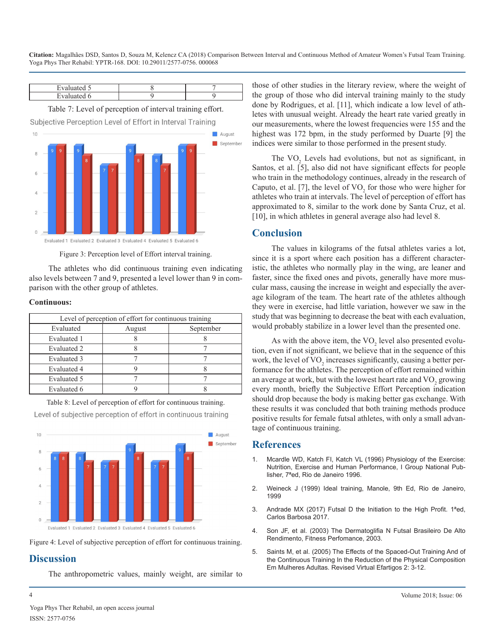| Evaluated 5                                               |  |  |  |
|-----------------------------------------------------------|--|--|--|
| Evaluated 6                                               |  |  |  |
| Table 7: Level of perception of interval training effort. |  |  |  |

Subjective Perception Level of Effort in Interval Training  $10$ August September  $\Omega$ Evaluated 1 Evaluated 2 Evaluated 3 Evaluated 4 Evaluated 5 Evaluated 6

Figure 3: Perception level of Effort interval training.

The athletes who did continuous training even indicating also levels between 7 and 9, presented a level lower than 9 in comparison with the other group of athletes.

#### **Continuous:**

| Level of perception of effort for continuous training |        |           |  |
|-------------------------------------------------------|--------|-----------|--|
| Evaluated                                             | August | September |  |
| Evaluated 1                                           |        |           |  |
| Evaluated 2                                           |        |           |  |
| Evaluated 3                                           |        |           |  |
| Evaluated 4                                           |        |           |  |
| Evaluated 5                                           |        |           |  |
| Evaluated 6                                           |        |           |  |

Table 8: Level of perception of effort for continuous training.

Level of subjective perception of effort in continuous training



Figure 4: Level of subjective perception of effort for continuous training.

## **Discussion**

The anthropometric values, mainly weight, are similar to

those of other studies in the literary review, where the weight of the group of those who did interval training mainly to the study done by Rodrigues, et al. [11], which indicate a low level of athletes with unusual weight. Already the heart rate varied greatly in our measurements, where the lowest frequencies were 155 and the highest was 172 bpm, in the study performed by Duarte [9] the indices were similar to those performed in the present study.

The  $VO<sub>2</sub>$  Levels had evolutions, but not as significant, in Santos, et al. [5], also did not have significant effects for people who train in the methodology continues, already in the research of Caputo, et al. [7], the level of  $VO<sub>2</sub>$  for those who were higher for athletes who train at intervals. The level of perception of effort has approximated to 8, similar to the work done by Santa Cruz, et al. [10], in which athletes in general average also had level 8.

## **Conclusion**

The values in kilograms of the futsal athletes varies a lot, since it is a sport where each position has a different characteristic, the athletes who normally play in the wing, are leaner and faster, since the fixed ones and pivots, generally have more muscular mass, causing the increase in weight and especially the average kilogram of the team. The heart rate of the athletes although they were in exercise, had little variation, however we saw in the study that was beginning to decrease the beat with each evaluation, would probably stabilize in a lower level than the presented one.

As with the above item, the  $VO<sub>2</sub>$  level also presented evolution, even if not significant, we believe that in the sequence of this work, the level of  $\rm VO_{2}$  increases significantly, causing a better performance for the athletes. The perception of effort remained within an average at work, but with the lowest heart rate and  $\rm VO_{2}$  growing every month, briefly the Subjective Effort Perception indication should drop because the body is making better gas exchange. With these results it was concluded that both training methods produce positive results for female futsal athletes, with only a small advantage of continuous training.

## **References**

- 1. Mcardle WD, Katch FI, Katch VL (1996) Physiology of the Exercise: Nutrition, Exercise and Human Performance, I Group National Publisher, 7ªed, Rio de Janeiro 1996.
- 2. Weineck J (1999) Ideal training, Manole, 9th Ed, Rio de Janeiro, 1999
- 3. Andrade MX (2017) Futsal D the Initiation to the High Profit. 1ªed, Carlos Barbosa 2017.
- 4. Son JF, et al. (2003) The Dermatoglifia N Futsal Brasileiro De Alto Rendimento, Fitness Perfomance, 2003.
- 5. Saints M, et al. (2005) The Effects of the Spaced-Out Training And of the Continuous Training In the Reduction of the Physical Composition Em Mulheres Adultas. Revised Virtual Efartigos 2: 3-12.